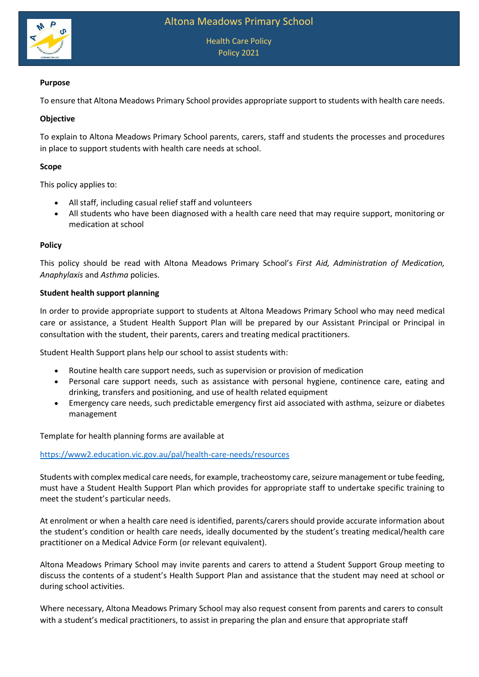

Health Care Policy Policy 2021

# **Purpose**

To ensure that Altona Meadows Primary School provides appropriate support to students with health care needs.

## **Objective**

To explain to Altona Meadows Primary School parents, carers, staff and students the processes and procedures in place to support students with health care needs at school.

## **Scope**

This policy applies to:

- All staff, including casual relief staff and volunteers
- All students who have been diagnosed with a health care need that may require support, monitoring or medication at school

#### **Policy**

This policy should be read with Altona Meadows Primary School's *First Aid, Administration of Medication, Anaphylaxis* and *Asthma* policies.

#### **Student health support planning**

In order to provide appropriate support to students at Altona Meadows Primary School who may need medical care or assistance, a Student Health Support Plan will be prepared by our Assistant Principal or Principal in consultation with the student, their parents, carers and treating medical practitioners.

Student Health Support plans help our school to assist students with:

- Routine health care support needs, such as supervision or provision of medication
- Personal care support needs, such as assistance with personal hygiene, continence care, eating and drinking, transfers and positioning, and use of health related equipment
- Emergency care needs, such predictable emergency first aid associated with asthma, seizure or diabetes management

Template for health planning forms are available at

<https://www2.education.vic.gov.au/pal/health-care-needs/resources>

Students with complex medical care needs, for example, tracheostomy care, seizure management or tube feeding, must have a Student Health Support Plan which provides for appropriate staff to undertake specific training to meet the student's particular needs.

At enrolment or when a health care need is identified, parents/carers should provide accurate information about the student's condition or health care needs, ideally documented by the student's treating medical/health care practitioner on a Medical Advice Form (or relevant equivalent).

Altona Meadows Primary School may invite parents and carers to attend a Student Support Group meeting to discuss the contents of a student's Health Support Plan and assistance that the student may need at school or during school activities.

Where necessary, Altona Meadows Primary School may also request consent from parents and carers to consult with a student's medical practitioners, to assist in preparing the plan and ensure that appropriate staff